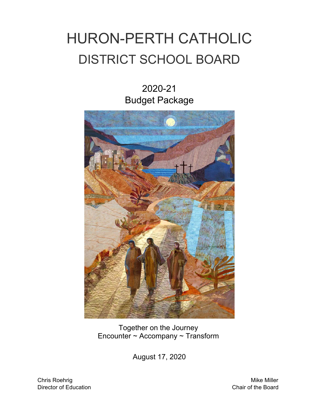# HURON-PERTH CATHOLIC DISTRICT SCHOOL BOARD

2020-21 Budget Package



Together on the Journey Encounter ~ Accompany ~ Transform

August 17, 2020

Chris Roehrig Mike Miller Director of Education Chair of the Board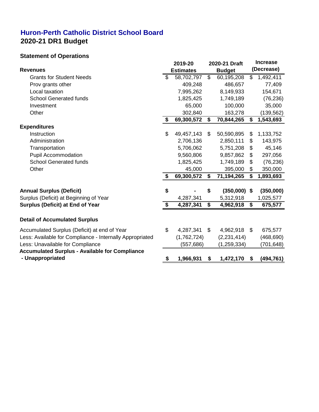### **Huron-Perth Catholic District School Board 2020-21 DR1 Budget**

#### **Statement of Operations**

| olalomont or operations                                  | 2019-20          |                | 2020-21 Draft  |                | <b>Increase</b> |
|----------------------------------------------------------|------------------|----------------|----------------|----------------|-----------------|
| <b>Revenues</b>                                          | <b>Estimates</b> |                | <b>Budget</b>  |                | (Decrease)      |
| <b>Grants for Student Needs</b>                          | \$<br>58,702,797 | $\mathfrak{L}$ | 60,195,208     | \$             | 1,492,411       |
| Prov grants other                                        | 409,248          |                | 486,657        |                | 77,409          |
| Local taxation                                           | 7,995,262        |                | 8,149,933      |                | 154,671         |
| <b>School Generated funds</b>                            | 1,825,425        |                | 1,749,189      |                | (76, 236)       |
| Investment                                               | 65,000           |                | 100,000        |                | 35,000          |
| Other                                                    | 302,840          |                | 163,278        |                | (139, 562)      |
|                                                          | \$<br>69,300,572 | \$             | 70,844,265     | \$             | 1,543,693       |
| <b>Expenditures</b>                                      |                  |                |                |                |                 |
| Instruction                                              | \$<br>49,457,143 | \$             | 50,590,895     | \$             | 1,133,752       |
| Administration                                           | 2,706,136        |                | 2,850,111      | \$             | 143,975         |
| Transportation                                           | 5,706,062        |                | 5,751,208      | \$             | 45,146          |
| <b>Pupil Accommodation</b>                               | 9,560,806        |                | 9,857,862      | \$             | 297,056         |
| <b>School Generated funds</b>                            | 1,825,425        |                | 1,749,189      | \$             | (76, 236)       |
| Other                                                    | 45,000           |                | 395,000        | \$             | 350,000         |
|                                                          | \$<br>69,300,572 | \$             | 71,194,265     | \$             | 1,893,693       |
| <b>Annual Surplus (Deficit)</b>                          | \$               | \$             | $(350,000)$ \$ |                | (350,000)       |
| Surplus (Deficit) at Beginning of Year                   | 4,287,341        |                | 5,312,918      |                | 1,025,577       |
| <b>Surplus (Deficit) at End of Year</b>                  | \$<br>4,287,341  | \$             | 4,962,918      | \$             | 675,577         |
| <b>Detail of Accumulated Surplus</b>                     |                  |                |                |                |                 |
| Accumulated Surplus (Deficit) at end of Year             | \$<br>4,287,341  | $\mathfrak{L}$ | 4,962,918      | $\mathfrak{S}$ | 675,577         |
| Less: Available for Compliance - Internally Appropriated | (1,762,724)      |                | (2, 231, 414)  |                | (468, 690)      |
| Less: Unavailable for Compliance                         | (557, 686)       |                | (1, 259, 334)  |                | (701, 648)      |
| <b>Accumulated Surplus - Available for Compliance</b>    |                  |                |                |                |                 |
| - Unappropriated                                         | 1,966,931        | S.             | 1,472,170      | S.             | (494, 761)      |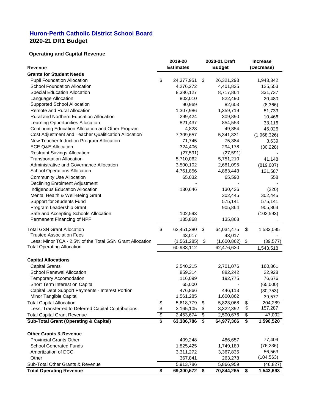## **Huron-Perth Catholic District School Board 2020-21 DR1 Budget**

# **Operating and Capital Revenue**

| <b>Estimates</b><br><b>Budget</b><br>(Decrease)<br><b>Revenue</b><br><b>Grants for Student Needs</b><br>\$<br>$\boldsymbol{\mathcal{L}}$<br><b>Pupil Foundation Allocation</b><br>24,377,951<br>26,321,293<br>1,943,342<br><b>School Foundation Allocation</b><br>4,276,272<br>4,401,825<br>125,553<br><b>Special Education Allocation</b><br>8,386,127<br>8,717,864<br>331,737<br>Language Allocation<br>802,010<br>822,490<br>20,480<br><b>Supported School Allocation</b><br>90,969<br>82,603<br>(8,366)<br><b>Remote and Rural Allocation</b><br>1,307,986<br>1,359,719<br>51,733<br><b>Rural and Northern Education Allocation</b><br>299,424<br>309,890<br>10,466<br>Learning Opportunities Allocation<br>821,437<br>854,553<br>33,116<br>Continuing Education Allocation and Other Program<br>4,828<br>49,854<br>45,026<br>Cost Adjustment and Teacher Qualification Allocation<br>7,309,657<br>5,341,331<br>(1,968,326)<br>New Teacher Induction Program Allocation<br>71,745<br>75,384<br>3,639<br><b>ECE Q&amp;E Allocation</b><br>324,406<br>294,178<br>(30, 228)<br><b>Restraint Savings Allocation</b><br>(27, 591)<br>(27, 591)<br>5,710,062<br><b>Transportation Allocation</b><br>5,751,210<br>41,148<br>Administrative and Governance Allocation<br>3,500,102<br>2,681,095<br>(819,007)<br><b>School Operations Allocation</b><br>4,761,856<br>4,883,443<br>121,587<br><b>Community Use Allocation</b><br>65,032<br>65,590<br>558<br><b>Declining Enrolment Adjustment</b><br><b>Indigenous Education Allocation</b><br>130,646<br>130,426<br>(220)<br>Mental Health & Well-Being Grant<br>302,445<br>302,445<br>575,141<br><b>Support for Students Fund</b><br>575,141<br>Program Leadership Grant<br>905,864<br>905,864<br>Safe and Accepting Schools Allocation<br>102,593<br>(102, 593)<br>Permanent Financing of NPF<br>135,868<br>135,868<br>\$<br><b>Total GSN Grant Allocation</b><br>$\mathfrak{F}$<br>\$<br>62,451,380<br>64,034,475<br>1,583,095<br><b>Trustee Association Fees</b><br>43,017<br>43,017<br>Less: Minor TCA - 2.5% of the Total GSN Grant Allocation<br>(1,561,285)<br>(1,600,862)<br>\$<br>(39, 577)<br>\$<br><b>Total Operating Allocation</b><br>60,933,112<br>62,476,630<br>1,543,518<br><b>Capital Allocations</b><br><b>Capital Grants</b><br>2,540,215<br>2,701,076<br>160,861<br><b>School Renewal Allocation</b><br>859,314<br>882,242<br>22,928<br>116,099<br><b>Temporary Accomodation</b><br>192,775<br>76,676<br>Short Term Interest on Capital<br>65,000<br>(65,000)<br>Capital Debt Support Payments - Interest Portion<br>476,866<br>446,113<br>(30, 753)<br>1,561,285<br><b>Minor Tangible Capital</b><br>1,600,862<br>39,577<br>5,618,779<br>5,823,068<br>204,289<br><b>Total Capital Allocation</b><br>\$<br>$\mathfrak{F}$<br>\$<br>\$<br>157,287<br>Less: Transferred to Deferred Capital Contributions<br>\$<br>3,165,105<br>3,322,392<br>\$<br>\$<br>\$<br>\$<br><b>Total Capital Grant Revenue</b><br>47,002<br>2,453,674<br>2,500,676<br><b>Sub-Total Grant (Operating &amp; Capital)</b><br>\$<br>63,386,786<br>\$<br>64,977,306<br>\$<br>1,590,520<br><b>Other Grants &amp; Revenue</b><br>77,409<br><b>Provincial Grants Other</b><br>409,248<br>486,657<br>(76, 236)<br><b>School Generated Funds</b><br>1,825,425<br>1,749,189<br>56,563<br>3,311,272<br>Amortization of DCC<br>3,367,835<br>(104, 563)<br>Other<br>367,841<br>263,278<br>Sub-Total Other Grants & Revenue<br>5,913,786<br>5,866,959<br>(46, 827)<br><b>Total Operating Revenue</b><br>69,300,572<br>70,844,265<br>1,543,693<br>\$<br>\$<br>\$ |  | 2019-20 | 2020-21 Draft | <b>Increase</b> |
|-----------------------------------------------------------------------------------------------------------------------------------------------------------------------------------------------------------------------------------------------------------------------------------------------------------------------------------------------------------------------------------------------------------------------------------------------------------------------------------------------------------------------------------------------------------------------------------------------------------------------------------------------------------------------------------------------------------------------------------------------------------------------------------------------------------------------------------------------------------------------------------------------------------------------------------------------------------------------------------------------------------------------------------------------------------------------------------------------------------------------------------------------------------------------------------------------------------------------------------------------------------------------------------------------------------------------------------------------------------------------------------------------------------------------------------------------------------------------------------------------------------------------------------------------------------------------------------------------------------------------------------------------------------------------------------------------------------------------------------------------------------------------------------------------------------------------------------------------------------------------------------------------------------------------------------------------------------------------------------------------------------------------------------------------------------------------------------------------------------------------------------------------------------------------------------------------------------------------------------------------------------------------------------------------------------------------------------------------------------------------------------------------------------------------------------------------------------------------------------------------------------------------------------------------------------------------------------------------------------------------------------------------------------------------------------------------------------------------------------------------------------------------------------------------------------------------------------------------------------------------------------------------------------------------------------------------------------------------------------------------------------------------------------------------------------------------------------------------------------------------------------------------------------------------------------------------------------------------------------------------------------------------------------------------------------------------------------------------------------------------------------------------------------------------------------------------------------------------------------------------------------------------------------------------------------------------------------------|--|---------|---------------|-----------------|
|                                                                                                                                                                                                                                                                                                                                                                                                                                                                                                                                                                                                                                                                                                                                                                                                                                                                                                                                                                                                                                                                                                                                                                                                                                                                                                                                                                                                                                                                                                                                                                                                                                                                                                                                                                                                                                                                                                                                                                                                                                                                                                                                                                                                                                                                                                                                                                                                                                                                                                                                                                                                                                                                                                                                                                                                                                                                                                                                                                                                                                                                                                                                                                                                                                                                                                                                                                                                                                                                                                                                                                                         |  |         |               |                 |
|                                                                                                                                                                                                                                                                                                                                                                                                                                                                                                                                                                                                                                                                                                                                                                                                                                                                                                                                                                                                                                                                                                                                                                                                                                                                                                                                                                                                                                                                                                                                                                                                                                                                                                                                                                                                                                                                                                                                                                                                                                                                                                                                                                                                                                                                                                                                                                                                                                                                                                                                                                                                                                                                                                                                                                                                                                                                                                                                                                                                                                                                                                                                                                                                                                                                                                                                                                                                                                                                                                                                                                                         |  |         |               |                 |
|                                                                                                                                                                                                                                                                                                                                                                                                                                                                                                                                                                                                                                                                                                                                                                                                                                                                                                                                                                                                                                                                                                                                                                                                                                                                                                                                                                                                                                                                                                                                                                                                                                                                                                                                                                                                                                                                                                                                                                                                                                                                                                                                                                                                                                                                                                                                                                                                                                                                                                                                                                                                                                                                                                                                                                                                                                                                                                                                                                                                                                                                                                                                                                                                                                                                                                                                                                                                                                                                                                                                                                                         |  |         |               |                 |
|                                                                                                                                                                                                                                                                                                                                                                                                                                                                                                                                                                                                                                                                                                                                                                                                                                                                                                                                                                                                                                                                                                                                                                                                                                                                                                                                                                                                                                                                                                                                                                                                                                                                                                                                                                                                                                                                                                                                                                                                                                                                                                                                                                                                                                                                                                                                                                                                                                                                                                                                                                                                                                                                                                                                                                                                                                                                                                                                                                                                                                                                                                                                                                                                                                                                                                                                                                                                                                                                                                                                                                                         |  |         |               |                 |
|                                                                                                                                                                                                                                                                                                                                                                                                                                                                                                                                                                                                                                                                                                                                                                                                                                                                                                                                                                                                                                                                                                                                                                                                                                                                                                                                                                                                                                                                                                                                                                                                                                                                                                                                                                                                                                                                                                                                                                                                                                                                                                                                                                                                                                                                                                                                                                                                                                                                                                                                                                                                                                                                                                                                                                                                                                                                                                                                                                                                                                                                                                                                                                                                                                                                                                                                                                                                                                                                                                                                                                                         |  |         |               |                 |
|                                                                                                                                                                                                                                                                                                                                                                                                                                                                                                                                                                                                                                                                                                                                                                                                                                                                                                                                                                                                                                                                                                                                                                                                                                                                                                                                                                                                                                                                                                                                                                                                                                                                                                                                                                                                                                                                                                                                                                                                                                                                                                                                                                                                                                                                                                                                                                                                                                                                                                                                                                                                                                                                                                                                                                                                                                                                                                                                                                                                                                                                                                                                                                                                                                                                                                                                                                                                                                                                                                                                                                                         |  |         |               |                 |
|                                                                                                                                                                                                                                                                                                                                                                                                                                                                                                                                                                                                                                                                                                                                                                                                                                                                                                                                                                                                                                                                                                                                                                                                                                                                                                                                                                                                                                                                                                                                                                                                                                                                                                                                                                                                                                                                                                                                                                                                                                                                                                                                                                                                                                                                                                                                                                                                                                                                                                                                                                                                                                                                                                                                                                                                                                                                                                                                                                                                                                                                                                                                                                                                                                                                                                                                                                                                                                                                                                                                                                                         |  |         |               |                 |
|                                                                                                                                                                                                                                                                                                                                                                                                                                                                                                                                                                                                                                                                                                                                                                                                                                                                                                                                                                                                                                                                                                                                                                                                                                                                                                                                                                                                                                                                                                                                                                                                                                                                                                                                                                                                                                                                                                                                                                                                                                                                                                                                                                                                                                                                                                                                                                                                                                                                                                                                                                                                                                                                                                                                                                                                                                                                                                                                                                                                                                                                                                                                                                                                                                                                                                                                                                                                                                                                                                                                                                                         |  |         |               |                 |
|                                                                                                                                                                                                                                                                                                                                                                                                                                                                                                                                                                                                                                                                                                                                                                                                                                                                                                                                                                                                                                                                                                                                                                                                                                                                                                                                                                                                                                                                                                                                                                                                                                                                                                                                                                                                                                                                                                                                                                                                                                                                                                                                                                                                                                                                                                                                                                                                                                                                                                                                                                                                                                                                                                                                                                                                                                                                                                                                                                                                                                                                                                                                                                                                                                                                                                                                                                                                                                                                                                                                                                                         |  |         |               |                 |
|                                                                                                                                                                                                                                                                                                                                                                                                                                                                                                                                                                                                                                                                                                                                                                                                                                                                                                                                                                                                                                                                                                                                                                                                                                                                                                                                                                                                                                                                                                                                                                                                                                                                                                                                                                                                                                                                                                                                                                                                                                                                                                                                                                                                                                                                                                                                                                                                                                                                                                                                                                                                                                                                                                                                                                                                                                                                                                                                                                                                                                                                                                                                                                                                                                                                                                                                                                                                                                                                                                                                                                                         |  |         |               |                 |
|                                                                                                                                                                                                                                                                                                                                                                                                                                                                                                                                                                                                                                                                                                                                                                                                                                                                                                                                                                                                                                                                                                                                                                                                                                                                                                                                                                                                                                                                                                                                                                                                                                                                                                                                                                                                                                                                                                                                                                                                                                                                                                                                                                                                                                                                                                                                                                                                                                                                                                                                                                                                                                                                                                                                                                                                                                                                                                                                                                                                                                                                                                                                                                                                                                                                                                                                                                                                                                                                                                                                                                                         |  |         |               |                 |
|                                                                                                                                                                                                                                                                                                                                                                                                                                                                                                                                                                                                                                                                                                                                                                                                                                                                                                                                                                                                                                                                                                                                                                                                                                                                                                                                                                                                                                                                                                                                                                                                                                                                                                                                                                                                                                                                                                                                                                                                                                                                                                                                                                                                                                                                                                                                                                                                                                                                                                                                                                                                                                                                                                                                                                                                                                                                                                                                                                                                                                                                                                                                                                                                                                                                                                                                                                                                                                                                                                                                                                                         |  |         |               |                 |
|                                                                                                                                                                                                                                                                                                                                                                                                                                                                                                                                                                                                                                                                                                                                                                                                                                                                                                                                                                                                                                                                                                                                                                                                                                                                                                                                                                                                                                                                                                                                                                                                                                                                                                                                                                                                                                                                                                                                                                                                                                                                                                                                                                                                                                                                                                                                                                                                                                                                                                                                                                                                                                                                                                                                                                                                                                                                                                                                                                                                                                                                                                                                                                                                                                                                                                                                                                                                                                                                                                                                                                                         |  |         |               |                 |
|                                                                                                                                                                                                                                                                                                                                                                                                                                                                                                                                                                                                                                                                                                                                                                                                                                                                                                                                                                                                                                                                                                                                                                                                                                                                                                                                                                                                                                                                                                                                                                                                                                                                                                                                                                                                                                                                                                                                                                                                                                                                                                                                                                                                                                                                                                                                                                                                                                                                                                                                                                                                                                                                                                                                                                                                                                                                                                                                                                                                                                                                                                                                                                                                                                                                                                                                                                                                                                                                                                                                                                                         |  |         |               |                 |
|                                                                                                                                                                                                                                                                                                                                                                                                                                                                                                                                                                                                                                                                                                                                                                                                                                                                                                                                                                                                                                                                                                                                                                                                                                                                                                                                                                                                                                                                                                                                                                                                                                                                                                                                                                                                                                                                                                                                                                                                                                                                                                                                                                                                                                                                                                                                                                                                                                                                                                                                                                                                                                                                                                                                                                                                                                                                                                                                                                                                                                                                                                                                                                                                                                                                                                                                                                                                                                                                                                                                                                                         |  |         |               |                 |
|                                                                                                                                                                                                                                                                                                                                                                                                                                                                                                                                                                                                                                                                                                                                                                                                                                                                                                                                                                                                                                                                                                                                                                                                                                                                                                                                                                                                                                                                                                                                                                                                                                                                                                                                                                                                                                                                                                                                                                                                                                                                                                                                                                                                                                                                                                                                                                                                                                                                                                                                                                                                                                                                                                                                                                                                                                                                                                                                                                                                                                                                                                                                                                                                                                                                                                                                                                                                                                                                                                                                                                                         |  |         |               |                 |
|                                                                                                                                                                                                                                                                                                                                                                                                                                                                                                                                                                                                                                                                                                                                                                                                                                                                                                                                                                                                                                                                                                                                                                                                                                                                                                                                                                                                                                                                                                                                                                                                                                                                                                                                                                                                                                                                                                                                                                                                                                                                                                                                                                                                                                                                                                                                                                                                                                                                                                                                                                                                                                                                                                                                                                                                                                                                                                                                                                                                                                                                                                                                                                                                                                                                                                                                                                                                                                                                                                                                                                                         |  |         |               |                 |
|                                                                                                                                                                                                                                                                                                                                                                                                                                                                                                                                                                                                                                                                                                                                                                                                                                                                                                                                                                                                                                                                                                                                                                                                                                                                                                                                                                                                                                                                                                                                                                                                                                                                                                                                                                                                                                                                                                                                                                                                                                                                                                                                                                                                                                                                                                                                                                                                                                                                                                                                                                                                                                                                                                                                                                                                                                                                                                                                                                                                                                                                                                                                                                                                                                                                                                                                                                                                                                                                                                                                                                                         |  |         |               |                 |
|                                                                                                                                                                                                                                                                                                                                                                                                                                                                                                                                                                                                                                                                                                                                                                                                                                                                                                                                                                                                                                                                                                                                                                                                                                                                                                                                                                                                                                                                                                                                                                                                                                                                                                                                                                                                                                                                                                                                                                                                                                                                                                                                                                                                                                                                                                                                                                                                                                                                                                                                                                                                                                                                                                                                                                                                                                                                                                                                                                                                                                                                                                                                                                                                                                                                                                                                                                                                                                                                                                                                                                                         |  |         |               |                 |
|                                                                                                                                                                                                                                                                                                                                                                                                                                                                                                                                                                                                                                                                                                                                                                                                                                                                                                                                                                                                                                                                                                                                                                                                                                                                                                                                                                                                                                                                                                                                                                                                                                                                                                                                                                                                                                                                                                                                                                                                                                                                                                                                                                                                                                                                                                                                                                                                                                                                                                                                                                                                                                                                                                                                                                                                                                                                                                                                                                                                                                                                                                                                                                                                                                                                                                                                                                                                                                                                                                                                                                                         |  |         |               |                 |
|                                                                                                                                                                                                                                                                                                                                                                                                                                                                                                                                                                                                                                                                                                                                                                                                                                                                                                                                                                                                                                                                                                                                                                                                                                                                                                                                                                                                                                                                                                                                                                                                                                                                                                                                                                                                                                                                                                                                                                                                                                                                                                                                                                                                                                                                                                                                                                                                                                                                                                                                                                                                                                                                                                                                                                                                                                                                                                                                                                                                                                                                                                                                                                                                                                                                                                                                                                                                                                                                                                                                                                                         |  |         |               |                 |
|                                                                                                                                                                                                                                                                                                                                                                                                                                                                                                                                                                                                                                                                                                                                                                                                                                                                                                                                                                                                                                                                                                                                                                                                                                                                                                                                                                                                                                                                                                                                                                                                                                                                                                                                                                                                                                                                                                                                                                                                                                                                                                                                                                                                                                                                                                                                                                                                                                                                                                                                                                                                                                                                                                                                                                                                                                                                                                                                                                                                                                                                                                                                                                                                                                                                                                                                                                                                                                                                                                                                                                                         |  |         |               |                 |
|                                                                                                                                                                                                                                                                                                                                                                                                                                                                                                                                                                                                                                                                                                                                                                                                                                                                                                                                                                                                                                                                                                                                                                                                                                                                                                                                                                                                                                                                                                                                                                                                                                                                                                                                                                                                                                                                                                                                                                                                                                                                                                                                                                                                                                                                                                                                                                                                                                                                                                                                                                                                                                                                                                                                                                                                                                                                                                                                                                                                                                                                                                                                                                                                                                                                                                                                                                                                                                                                                                                                                                                         |  |         |               |                 |
|                                                                                                                                                                                                                                                                                                                                                                                                                                                                                                                                                                                                                                                                                                                                                                                                                                                                                                                                                                                                                                                                                                                                                                                                                                                                                                                                                                                                                                                                                                                                                                                                                                                                                                                                                                                                                                                                                                                                                                                                                                                                                                                                                                                                                                                                                                                                                                                                                                                                                                                                                                                                                                                                                                                                                                                                                                                                                                                                                                                                                                                                                                                                                                                                                                                                                                                                                                                                                                                                                                                                                                                         |  |         |               |                 |
|                                                                                                                                                                                                                                                                                                                                                                                                                                                                                                                                                                                                                                                                                                                                                                                                                                                                                                                                                                                                                                                                                                                                                                                                                                                                                                                                                                                                                                                                                                                                                                                                                                                                                                                                                                                                                                                                                                                                                                                                                                                                                                                                                                                                                                                                                                                                                                                                                                                                                                                                                                                                                                                                                                                                                                                                                                                                                                                                                                                                                                                                                                                                                                                                                                                                                                                                                                                                                                                                                                                                                                                         |  |         |               |                 |
|                                                                                                                                                                                                                                                                                                                                                                                                                                                                                                                                                                                                                                                                                                                                                                                                                                                                                                                                                                                                                                                                                                                                                                                                                                                                                                                                                                                                                                                                                                                                                                                                                                                                                                                                                                                                                                                                                                                                                                                                                                                                                                                                                                                                                                                                                                                                                                                                                                                                                                                                                                                                                                                                                                                                                                                                                                                                                                                                                                                                                                                                                                                                                                                                                                                                                                                                                                                                                                                                                                                                                                                         |  |         |               |                 |
|                                                                                                                                                                                                                                                                                                                                                                                                                                                                                                                                                                                                                                                                                                                                                                                                                                                                                                                                                                                                                                                                                                                                                                                                                                                                                                                                                                                                                                                                                                                                                                                                                                                                                                                                                                                                                                                                                                                                                                                                                                                                                                                                                                                                                                                                                                                                                                                                                                                                                                                                                                                                                                                                                                                                                                                                                                                                                                                                                                                                                                                                                                                                                                                                                                                                                                                                                                                                                                                                                                                                                                                         |  |         |               |                 |
|                                                                                                                                                                                                                                                                                                                                                                                                                                                                                                                                                                                                                                                                                                                                                                                                                                                                                                                                                                                                                                                                                                                                                                                                                                                                                                                                                                                                                                                                                                                                                                                                                                                                                                                                                                                                                                                                                                                                                                                                                                                                                                                                                                                                                                                                                                                                                                                                                                                                                                                                                                                                                                                                                                                                                                                                                                                                                                                                                                                                                                                                                                                                                                                                                                                                                                                                                                                                                                                                                                                                                                                         |  |         |               |                 |
|                                                                                                                                                                                                                                                                                                                                                                                                                                                                                                                                                                                                                                                                                                                                                                                                                                                                                                                                                                                                                                                                                                                                                                                                                                                                                                                                                                                                                                                                                                                                                                                                                                                                                                                                                                                                                                                                                                                                                                                                                                                                                                                                                                                                                                                                                                                                                                                                                                                                                                                                                                                                                                                                                                                                                                                                                                                                                                                                                                                                                                                                                                                                                                                                                                                                                                                                                                                                                                                                                                                                                                                         |  |         |               |                 |
|                                                                                                                                                                                                                                                                                                                                                                                                                                                                                                                                                                                                                                                                                                                                                                                                                                                                                                                                                                                                                                                                                                                                                                                                                                                                                                                                                                                                                                                                                                                                                                                                                                                                                                                                                                                                                                                                                                                                                                                                                                                                                                                                                                                                                                                                                                                                                                                                                                                                                                                                                                                                                                                                                                                                                                                                                                                                                                                                                                                                                                                                                                                                                                                                                                                                                                                                                                                                                                                                                                                                                                                         |  |         |               |                 |
|                                                                                                                                                                                                                                                                                                                                                                                                                                                                                                                                                                                                                                                                                                                                                                                                                                                                                                                                                                                                                                                                                                                                                                                                                                                                                                                                                                                                                                                                                                                                                                                                                                                                                                                                                                                                                                                                                                                                                                                                                                                                                                                                                                                                                                                                                                                                                                                                                                                                                                                                                                                                                                                                                                                                                                                                                                                                                                                                                                                                                                                                                                                                                                                                                                                                                                                                                                                                                                                                                                                                                                                         |  |         |               |                 |
|                                                                                                                                                                                                                                                                                                                                                                                                                                                                                                                                                                                                                                                                                                                                                                                                                                                                                                                                                                                                                                                                                                                                                                                                                                                                                                                                                                                                                                                                                                                                                                                                                                                                                                                                                                                                                                                                                                                                                                                                                                                                                                                                                                                                                                                                                                                                                                                                                                                                                                                                                                                                                                                                                                                                                                                                                                                                                                                                                                                                                                                                                                                                                                                                                                                                                                                                                                                                                                                                                                                                                                                         |  |         |               |                 |
|                                                                                                                                                                                                                                                                                                                                                                                                                                                                                                                                                                                                                                                                                                                                                                                                                                                                                                                                                                                                                                                                                                                                                                                                                                                                                                                                                                                                                                                                                                                                                                                                                                                                                                                                                                                                                                                                                                                                                                                                                                                                                                                                                                                                                                                                                                                                                                                                                                                                                                                                                                                                                                                                                                                                                                                                                                                                                                                                                                                                                                                                                                                                                                                                                                                                                                                                                                                                                                                                                                                                                                                         |  |         |               |                 |
|                                                                                                                                                                                                                                                                                                                                                                                                                                                                                                                                                                                                                                                                                                                                                                                                                                                                                                                                                                                                                                                                                                                                                                                                                                                                                                                                                                                                                                                                                                                                                                                                                                                                                                                                                                                                                                                                                                                                                                                                                                                                                                                                                                                                                                                                                                                                                                                                                                                                                                                                                                                                                                                                                                                                                                                                                                                                                                                                                                                                                                                                                                                                                                                                                                                                                                                                                                                                                                                                                                                                                                                         |  |         |               |                 |
|                                                                                                                                                                                                                                                                                                                                                                                                                                                                                                                                                                                                                                                                                                                                                                                                                                                                                                                                                                                                                                                                                                                                                                                                                                                                                                                                                                                                                                                                                                                                                                                                                                                                                                                                                                                                                                                                                                                                                                                                                                                                                                                                                                                                                                                                                                                                                                                                                                                                                                                                                                                                                                                                                                                                                                                                                                                                                                                                                                                                                                                                                                                                                                                                                                                                                                                                                                                                                                                                                                                                                                                         |  |         |               |                 |
|                                                                                                                                                                                                                                                                                                                                                                                                                                                                                                                                                                                                                                                                                                                                                                                                                                                                                                                                                                                                                                                                                                                                                                                                                                                                                                                                                                                                                                                                                                                                                                                                                                                                                                                                                                                                                                                                                                                                                                                                                                                                                                                                                                                                                                                                                                                                                                                                                                                                                                                                                                                                                                                                                                                                                                                                                                                                                                                                                                                                                                                                                                                                                                                                                                                                                                                                                                                                                                                                                                                                                                                         |  |         |               |                 |
|                                                                                                                                                                                                                                                                                                                                                                                                                                                                                                                                                                                                                                                                                                                                                                                                                                                                                                                                                                                                                                                                                                                                                                                                                                                                                                                                                                                                                                                                                                                                                                                                                                                                                                                                                                                                                                                                                                                                                                                                                                                                                                                                                                                                                                                                                                                                                                                                                                                                                                                                                                                                                                                                                                                                                                                                                                                                                                                                                                                                                                                                                                                                                                                                                                                                                                                                                                                                                                                                                                                                                                                         |  |         |               |                 |
|                                                                                                                                                                                                                                                                                                                                                                                                                                                                                                                                                                                                                                                                                                                                                                                                                                                                                                                                                                                                                                                                                                                                                                                                                                                                                                                                                                                                                                                                                                                                                                                                                                                                                                                                                                                                                                                                                                                                                                                                                                                                                                                                                                                                                                                                                                                                                                                                                                                                                                                                                                                                                                                                                                                                                                                                                                                                                                                                                                                                                                                                                                                                                                                                                                                                                                                                                                                                                                                                                                                                                                                         |  |         |               |                 |
|                                                                                                                                                                                                                                                                                                                                                                                                                                                                                                                                                                                                                                                                                                                                                                                                                                                                                                                                                                                                                                                                                                                                                                                                                                                                                                                                                                                                                                                                                                                                                                                                                                                                                                                                                                                                                                                                                                                                                                                                                                                                                                                                                                                                                                                                                                                                                                                                                                                                                                                                                                                                                                                                                                                                                                                                                                                                                                                                                                                                                                                                                                                                                                                                                                                                                                                                                                                                                                                                                                                                                                                         |  |         |               |                 |
|                                                                                                                                                                                                                                                                                                                                                                                                                                                                                                                                                                                                                                                                                                                                                                                                                                                                                                                                                                                                                                                                                                                                                                                                                                                                                                                                                                                                                                                                                                                                                                                                                                                                                                                                                                                                                                                                                                                                                                                                                                                                                                                                                                                                                                                                                                                                                                                                                                                                                                                                                                                                                                                                                                                                                                                                                                                                                                                                                                                                                                                                                                                                                                                                                                                                                                                                                                                                                                                                                                                                                                                         |  |         |               |                 |
|                                                                                                                                                                                                                                                                                                                                                                                                                                                                                                                                                                                                                                                                                                                                                                                                                                                                                                                                                                                                                                                                                                                                                                                                                                                                                                                                                                                                                                                                                                                                                                                                                                                                                                                                                                                                                                                                                                                                                                                                                                                                                                                                                                                                                                                                                                                                                                                                                                                                                                                                                                                                                                                                                                                                                                                                                                                                                                                                                                                                                                                                                                                                                                                                                                                                                                                                                                                                                                                                                                                                                                                         |  |         |               |                 |
|                                                                                                                                                                                                                                                                                                                                                                                                                                                                                                                                                                                                                                                                                                                                                                                                                                                                                                                                                                                                                                                                                                                                                                                                                                                                                                                                                                                                                                                                                                                                                                                                                                                                                                                                                                                                                                                                                                                                                                                                                                                                                                                                                                                                                                                                                                                                                                                                                                                                                                                                                                                                                                                                                                                                                                                                                                                                                                                                                                                                                                                                                                                                                                                                                                                                                                                                                                                                                                                                                                                                                                                         |  |         |               |                 |
|                                                                                                                                                                                                                                                                                                                                                                                                                                                                                                                                                                                                                                                                                                                                                                                                                                                                                                                                                                                                                                                                                                                                                                                                                                                                                                                                                                                                                                                                                                                                                                                                                                                                                                                                                                                                                                                                                                                                                                                                                                                                                                                                                                                                                                                                                                                                                                                                                                                                                                                                                                                                                                                                                                                                                                                                                                                                                                                                                                                                                                                                                                                                                                                                                                                                                                                                                                                                                                                                                                                                                                                         |  |         |               |                 |
|                                                                                                                                                                                                                                                                                                                                                                                                                                                                                                                                                                                                                                                                                                                                                                                                                                                                                                                                                                                                                                                                                                                                                                                                                                                                                                                                                                                                                                                                                                                                                                                                                                                                                                                                                                                                                                                                                                                                                                                                                                                                                                                                                                                                                                                                                                                                                                                                                                                                                                                                                                                                                                                                                                                                                                                                                                                                                                                                                                                                                                                                                                                                                                                                                                                                                                                                                                                                                                                                                                                                                                                         |  |         |               |                 |
|                                                                                                                                                                                                                                                                                                                                                                                                                                                                                                                                                                                                                                                                                                                                                                                                                                                                                                                                                                                                                                                                                                                                                                                                                                                                                                                                                                                                                                                                                                                                                                                                                                                                                                                                                                                                                                                                                                                                                                                                                                                                                                                                                                                                                                                                                                                                                                                                                                                                                                                                                                                                                                                                                                                                                                                                                                                                                                                                                                                                                                                                                                                                                                                                                                                                                                                                                                                                                                                                                                                                                                                         |  |         |               |                 |
|                                                                                                                                                                                                                                                                                                                                                                                                                                                                                                                                                                                                                                                                                                                                                                                                                                                                                                                                                                                                                                                                                                                                                                                                                                                                                                                                                                                                                                                                                                                                                                                                                                                                                                                                                                                                                                                                                                                                                                                                                                                                                                                                                                                                                                                                                                                                                                                                                                                                                                                                                                                                                                                                                                                                                                                                                                                                                                                                                                                                                                                                                                                                                                                                                                                                                                                                                                                                                                                                                                                                                                                         |  |         |               |                 |
|                                                                                                                                                                                                                                                                                                                                                                                                                                                                                                                                                                                                                                                                                                                                                                                                                                                                                                                                                                                                                                                                                                                                                                                                                                                                                                                                                                                                                                                                                                                                                                                                                                                                                                                                                                                                                                                                                                                                                                                                                                                                                                                                                                                                                                                                                                                                                                                                                                                                                                                                                                                                                                                                                                                                                                                                                                                                                                                                                                                                                                                                                                                                                                                                                                                                                                                                                                                                                                                                                                                                                                                         |  |         |               |                 |
|                                                                                                                                                                                                                                                                                                                                                                                                                                                                                                                                                                                                                                                                                                                                                                                                                                                                                                                                                                                                                                                                                                                                                                                                                                                                                                                                                                                                                                                                                                                                                                                                                                                                                                                                                                                                                                                                                                                                                                                                                                                                                                                                                                                                                                                                                                                                                                                                                                                                                                                                                                                                                                                                                                                                                                                                                                                                                                                                                                                                                                                                                                                                                                                                                                                                                                                                                                                                                                                                                                                                                                                         |  |         |               |                 |
|                                                                                                                                                                                                                                                                                                                                                                                                                                                                                                                                                                                                                                                                                                                                                                                                                                                                                                                                                                                                                                                                                                                                                                                                                                                                                                                                                                                                                                                                                                                                                                                                                                                                                                                                                                                                                                                                                                                                                                                                                                                                                                                                                                                                                                                                                                                                                                                                                                                                                                                                                                                                                                                                                                                                                                                                                                                                                                                                                                                                                                                                                                                                                                                                                                                                                                                                                                                                                                                                                                                                                                                         |  |         |               |                 |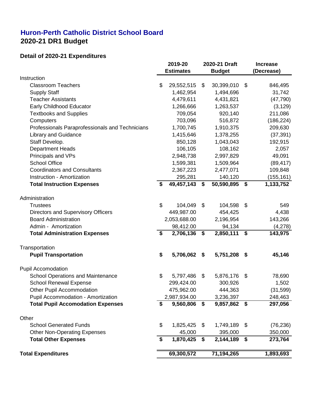## **Huron-Perth Catholic District School Board 2020-21 DR1 Budget**

#### **Detail of 2020-21 Expenditures**

|                                                 | 2019-20<br><b>Estimates</b> |              | 2020-21 Draft<br><b>Budget</b> |              | <b>Increase</b><br>(Decrease) |
|-------------------------------------------------|-----------------------------|--------------|--------------------------------|--------------|-------------------------------|
| Instruction                                     |                             |              |                                |              |                               |
| <b>Classroom Teachers</b>                       | \$                          | 29,552,515   | \$                             | 30,399,010   | \$<br>846,495                 |
| <b>Supply Staff</b>                             |                             | 1,462,954    |                                | 1,494,696    | 31,742                        |
| <b>Teacher Assistants</b>                       |                             | 4,479,611    |                                | 4,431,821    | (47, 790)                     |
| <b>Early Childhood Educator</b>                 |                             | 1,266,666    |                                | 1,263,537    | (3, 129)                      |
| <b>Textbooks and Supplies</b>                   |                             | 709,054      |                                | 920,140      | 211,086                       |
| Computers                                       |                             | 703,096      |                                | 516,872      | (186, 224)                    |
| Professionals Paraprofessionals and Technicians |                             | 1,700,745    |                                | 1,910,375    | 209,630                       |
| <b>Library and Guidance</b>                     |                             | 1,415,646    |                                | 1,378,255    | (37, 391)                     |
| Staff Develop.                                  |                             | 850,128      |                                | 1,043,043    | 192,915                       |
| <b>Department Heads</b>                         |                             | 106,105      |                                | 108,162      | 2,057                         |
| Principals and VPs                              |                             | 2,948,738    |                                | 2,997,829    | 49,091                        |
| <b>School Office</b>                            |                             | 1,599,381    |                                | 1,509,964    | (89, 417)                     |
| <b>Coordinators and Consultants</b>             |                             | 2,367,223    |                                | 2,477,071    | 109,848                       |
| Instruction - Amortization                      |                             | 295,281      |                                | 140,120      | (155, 161)                    |
| <b>Total Instruction Expenses</b>               | \$                          | 49,457,143   | \$                             | 50,590,895   | \$<br>1,133,752               |
| Administration                                  |                             |              |                                |              |                               |
| <b>Trustees</b>                                 | \$                          | 104,049      | \$                             | 104,598      | \$<br>549                     |
| Directors and Supervisory Officers              |                             | 449,987.00   |                                | 454,425      | 4,438                         |
| <b>Board Administration</b>                     |                             | 2,053,688.00 |                                | 2,196,954    | 143,266                       |
| Admin - Amortization                            |                             | 98,412.00    |                                | 94,134       | (4,278)                       |
| <b>Total Administration Expenses</b>            | \$                          | 2,706,136    | \$                             | 2,850,111    | \$<br>143,975                 |
| Transportation                                  |                             |              |                                |              |                               |
| <b>Pupil Transportation</b>                     | \$                          | 5,706,062    | \$                             | 5,751,208    | \$<br>45,146                  |
| <b>Pupil Accomodation</b>                       |                             |              |                                |              |                               |
| <b>School Operations and Maintenance</b>        | \$                          | 5,797,486    | \$                             | 5,876,176    | \$<br>78,690                  |
| <b>School Renewal Expense</b>                   |                             | 299,424.00   |                                | 300,926      | 1,502                         |
| <b>Other Pupil Accommodation</b>                |                             | 475,962.00   |                                | 444,363      | (31, 599)                     |
| Pupil Accommodation - Amortization              |                             | 2,987,934.00 |                                | 3,236,397    | 248,463                       |
| <b>Total Pupil Accomodation Expenses</b>        | \$                          | 9,560,806    | \$                             | 9,857,862 \$ | 297,056                       |
| Other                                           |                             |              |                                |              |                               |
| <b>School Generated Funds</b>                   | \$                          | 1,825,425    | \$                             | 1,749,189    | \$<br>(76, 236)               |
| <b>Other Non-Operating Expenses</b>             |                             | 45,000       |                                | 395,000      | 350,000                       |
| <b>Total Other Expenses</b>                     | \$                          | 1,870,425    | \$                             | 2,144,189    | \$<br>273,764                 |
| <b>Total Expenditures</b>                       |                             | 69,300,572   |                                | 71,194,265   | 1,893,693                     |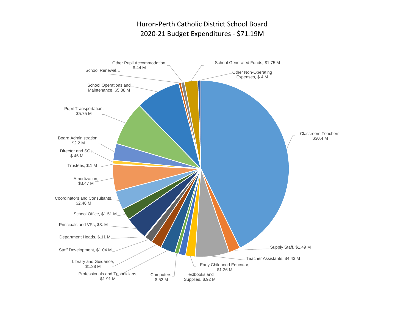## Huron-Perth Catholic District School Board 2020-21 Budget Expenditures - \$71.19M

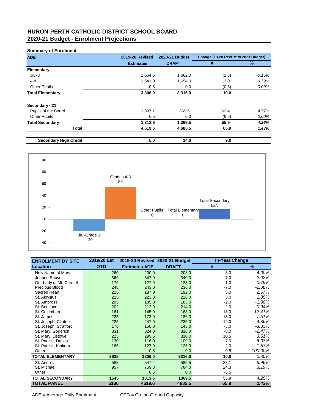#### **HURON-PERTH CATHOLIC DISTRICT SCHOOL BOARD 2020-21 Budget - Enrolment Projections**

#### **Summary of Enrolment**

| <b>ADE</b>                   | <b>2019-20 Revised</b> | 2020-21 Budget | Change (19-20 RevEst to 2021 Budget) |               |
|------------------------------|------------------------|----------------|--------------------------------------|---------------|
|                              | <b>Estimates</b>       | <b>DRAFT</b>   | #                                    | $\frac{0}{0}$ |
| <b>Elementary</b>            |                        |                |                                      |               |
| $JK -3$                      | 1,664.5                | 1,662.0        | (2.5)                                | $-0.15%$      |
| $4 - 8$                      | 1,641.0                | 1,654.0        | 13.0                                 | 0.79%         |
| <b>Other Pupils</b>          | 0.5                    | 0.0            | (0.5)                                | 0.00%         |
| <b>Total Elementary</b>      | 3,306.0                | 3,316.0        | 10.0                                 |               |
| Secondary <21                |                        |                |                                      |               |
| Pupils of the Board          | 1,307.1                | 1,369.5        | 62.4                                 | 4.77%         |
| <b>Other Pupils</b>          | 6.5                    | 0.0            | (6.5)                                | 0.00%         |
| <b>Total Secondary</b>       | 1,313.6                | 1,369.5        | 55.9                                 | 4.26%         |
| <b>Total</b>                 | 4,619.6                | 4,685.5        | 65.9                                 | 1.43%         |
| <b>Secondary High Credit</b> | 5.0                    | 14.0           | 9.0                                  |               |



| <b>ENROLMENT BY SITE</b> | 2019/20 Est | 2019-20 Revised 2020-21 Budget |              | <b>In-Year Change</b> |               |
|--------------------------|-------------|--------------------------------|--------------|-----------------------|---------------|
| <b>Location</b>          | <b>OTG</b>  | <b>Estimates ADE</b>           | <b>DRAFT</b> | #                     | $\frac{9}{6}$ |
| Holy Name of Mary        | 260         | 200.0                          | 208.0        | 8.0                   | 4.00%         |
| Jeanne Sauve             | 366         | 347.0                          | 340.0        | $-7.0$                | $-2.02%$      |
| Our Lady of Mt. Carmel   | 176         | 127.0                          | 128.0        | 1.0                   | 0.79%         |
| <b>Precious Blood</b>    | 248         | 243.0                          | 236.0        | $-7.0$                | $-2.88%$      |
| Sacred Heart             | 225         | 187.0                          | 192.0        | 5.0                   | 2.67%         |
| St. Aloysius             | 225         | 223.0                          | 226.0        | 3.0                   | 1.35%         |
| St. Ambrose              | 295         | 185.0                          | 183.0        | $-2.0$                | $-1.08%$      |
| St. Boniface             | 202         | 212.0                          | 214.0        | 2.0                   | 0.94%         |
| St. Columban             | 161         | 145.0                          | 163.0        | 18.0                  | 12.41%        |
| St. James                | 225         | 173.0                          | 186.0        | 13.0                  | 7.51%         |
| St. Joseph, Clinton      | 225         | 247.0                          | 235.0        | $-12.0$               | $-4.86%$      |
| St. Joseph, Stratford    | 176         | 150.0                          | 145.0        | $-5.0$                | $-3.33%$      |
| St. Mary, Goderich       | 331         | 324.0                          | 316.0        | $-8.0$                | $-2.47%$      |
| St. Mary, Listowel       | 225         | 299.5                          | 310.0        | 10.5                  | 3.51%         |
| St. Patrick, Dublin      | 130         | 116.0                          | 109.0        | $-7.0$                | $-6.03%$      |
| St. Patrick, Kinkora     | 165         | 127.0                          | 125.0        | $-2.0$                | $-1.57%$      |
| Other                    |             | 0.5                            | 0.0          | $-0.5$                | $-100.00\%$   |
| <b>TOTAL ELEMENTARY</b>  | 3635        | 3306.0                         | 3316.0       | 10.0                  | 0.30%         |
| St. Anne's               | 588         | 547.4                          | 585.5        | 38.1                  | 6.96%         |
| St. Michael              | 957         | 759.8                          | 784.0        | 24.3                  | 3.19%         |
| Other                    |             | 6.5                            | 0.0          | $-6.5$                |               |
| <b>TOTAL SECONDARY</b>   | 1545        | 1313.6                         | 1369.5       | 55.9                  | 4.25%         |
| <b>TOTAL PANEL</b>       | 5180        | 4619.6                         | 4685.5       | 65.9                  | 1.43%         |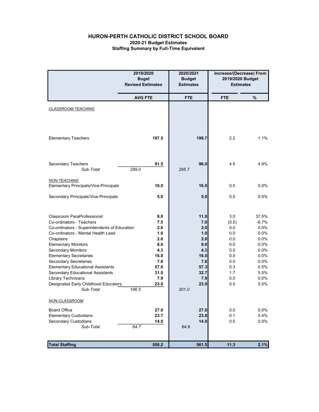#### HURON-PERTH CATHOLIC DISTRICT SCHOOL BOARD 2020-21 Budget Estimates Staffing Summary by Full-Time Equivalent

|                                                              | 2019/2020<br><b>Buget</b><br><b>Revised Estimates</b> |              | 2020/2021<br><b>Budget</b><br><b>Estimates</b> | Increase/(Decrease) From<br>2019/2020 Budget<br><b>Estimates</b> |              |
|--------------------------------------------------------------|-------------------------------------------------------|--------------|------------------------------------------------|------------------------------------------------------------------|--------------|
|                                                              | <b>AVG FTE</b>                                        |              | <b>FTE</b>                                     | <b>FTE</b>                                                       | %            |
| <b>CLASSROOM TEACHING</b>                                    |                                                       |              |                                                |                                                                  |              |
| <b>Elementary Teachers</b>                                   |                                                       | 197.5        | 199.7                                          | 2.2                                                              | 1.1%         |
| Secondary Teachers<br>Sub-Total                              | 289.0                                                 | 91.5         | 96.0<br>295.7                                  | 4.5                                                              | 4.9%         |
| <b>NON-TEACHING</b><br>Elementary Principals/Vice-Principals |                                                       | 16.0         | 16.0                                           | 0.0                                                              | 0.0%         |
| Secondary Principals/Vice-Principals                         |                                                       | 5.0          | 5.0                                            | 0.0                                                              | $0.0\%$      |
| <b>Classroom ParaProfessional</b>                            |                                                       | 8.0          | 11.0                                           | 3.0                                                              | 37.5%        |
| Co-ordinators - Teachers                                     |                                                       | 7.5          | 7.0                                            | (0.5)                                                            | $-6.7%$      |
| Co-ordinators - Superintendents of Education                 |                                                       | 2.0          | 2.0                                            | 0.0                                                              | $0.0\%$      |
| Co-ordinators - Mental Health Lead<br>Chaplains              |                                                       | 1.0<br>2.0   | 1.0<br>2.0                                     | 0.0<br>0.0                                                       | 0.0%<br>0.0% |
| <b>Elementary Monitors</b>                                   |                                                       | 8.0          | 8.0                                            | 0.0                                                              | 0.0%         |
| <b>Secondary Monitors</b>                                    |                                                       | 4.3          | 4.3                                            | 0.0                                                              | 0.0%         |
| <b>Elementary Secretaries</b>                                |                                                       | 16.0         | 16.0                                           | 0.0                                                              | 0.0%         |
| <b>Secondary Secretaries</b>                                 |                                                       | 7.8          | 7.8                                            | $0.0\,$                                                          | 0.0%         |
| <b>Elementary Educational Assistants</b>                     |                                                       | 57.0<br>31.0 | 57.3<br>32.7                                   | 0.3<br>1.7                                                       | 0.5%<br>5.5% |
| Secondary Educational Assistants<br>Library Technicans       |                                                       | 7.9          | 7.9                                            | 0.0                                                              | $0.0\%$      |
| Designated Early Childhood Educators                         |                                                       | 23.0         | 23.0                                           | 0.0                                                              | $0.0\%$      |
| Sub-Total                                                    | 196.5                                                 |              | 201.0                                          |                                                                  |              |
| <b>NON-CLASSROOM</b>                                         |                                                       |              |                                                |                                                                  |              |
| <b>Board Office</b>                                          |                                                       | 27.0         | 27.0                                           | 0.0                                                              | 0.0%         |
| <b>Elementary Custodians</b>                                 |                                                       | 23.7         | 23.8                                           | 0.1                                                              | 0.4%         |
| Secondary Custodians                                         |                                                       | 14.0         | 14.0                                           | 0.0                                                              | 0.0%         |
| Sub-Total                                                    | 64.7                                                  |              | 64.8                                           |                                                                  |              |
| <b>Total Staffing</b>                                        |                                                       | 550.2        | 561.5                                          | 11.3                                                             | 2.1%         |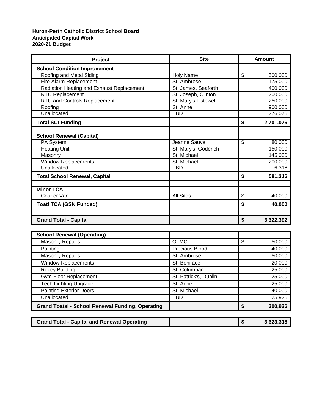#### **Huron-Perth Catholic District School Board Anticipated Capital Work 2020-21 Budget**

| Project                                   | <b>Site</b>          |    | Amount    |
|-------------------------------------------|----------------------|----|-----------|
| <b>School Condition Improvement</b>       |                      |    |           |
| Roofing and Metal Siding                  | <b>Holy Name</b>     | \$ | 500,000   |
| Fire Alarm Replacement                    | St. Ambrose          |    | 175,000   |
| Radiation Heating and Exhaust Replacement | St. James, Seaforth  |    | 400,000   |
| <b>RTU Replacement</b>                    | St. Joseph, Clinton  |    | 200,000   |
| <b>RTU and Controls Replacement</b>       | St. Mary's Listowel  |    | 250,000   |
| Roofing                                   | St. Anne             |    | 900,000   |
| Unallocated                               | <b>TBD</b>           |    | 276,076   |
| <b>Total SCI Funding</b>                  |                      | \$ | 2,701,076 |
| <b>School Renewal (Capital)</b>           |                      |    |           |
| PA System                                 | Jeanne Sauve         | \$ | 80,000    |
| <b>Heating Unit</b>                       | St. Mary's, Goderich |    | 150,000   |
| Masonry                                   | St. Michael          |    | 145,000   |
| <b>Window Replacements</b>                | St. Michael          |    | 200,000   |
| Unallocated                               | <b>TBD</b>           |    | 6,316     |
| <b>Total School Renewal, Capital</b>      |                      | \$ | 581,316   |
| <b>Minor TCA</b>                          |                      |    |           |
| Courier Van                               | <b>All Sites</b>     | S  | 40,000    |
| <b>Toatl TCA (GSN Funded)</b>             |                      | \$ | 40,000    |
|                                           |                      |    |           |
| <b>Grand Total - Capital</b>              |                      | \$ | 3,322,392 |

| <b>School Renewal (Operating)</b>                       |                       |         |
|---------------------------------------------------------|-----------------------|---------|
| <b>Masonry Repairs</b>                                  | <b>OLMC</b>           | 50,000  |
| Painting                                                | Precious Blood        | 40,000  |
| <b>Masonry Repairs</b>                                  | St. Ambrose           | 50,000  |
| <b>Window Replacements</b>                              | St. Boniface          | 20,000  |
| <b>Rekey Building</b>                                   | St. Columban          | 25,000  |
| Gym Floor Replacement                                   | St. Patrick's, Dublin | 25,000  |
| <b>Tech Lighting Upgrade</b>                            | St. Anne              | 25,000  |
| <b>Painting Exterior Doors</b>                          | St. Michael           | 40,000  |
| Unallocated                                             | TBD                   | 25,926  |
| <b>Grand Toatal - School Renewal Funding, Operating</b> |                       | 300,926 |

| <b>Grand Total - Capital and Renewal Operating</b> |  |  | 3,623,318 |
|----------------------------------------------------|--|--|-----------|
|----------------------------------------------------|--|--|-----------|